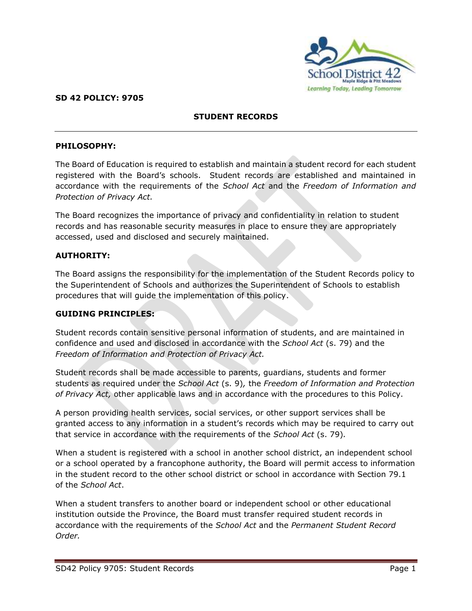

## **SD 42 POLICY: 9705**

# **STUDENT RECORDS**

### **PHILOSOPHY:**

The Board of Education is required to establish and maintain a student record for each student registered with the Board's schools. Student records are established and maintained in accordance with the requirements of the *School Act* and the *Freedom of Information and Protection of Privacy Act.* 

The Board recognizes the importance of privacy and confidentiality in relation to student records and has reasonable security measures in place to ensure they are appropriately accessed, used and disclosed and securely maintained.

## **AUTHORITY:**

The Board assigns the responsibility for the implementation of the Student Records policy to the Superintendent of Schools and authorizes the Superintendent of Schools to establish procedures that will guide the implementation of this policy.

### **GUIDING PRINCIPLES:**

Student records contain sensitive personal information of students, and are maintained in confidence and used and disclosed in accordance with the *School Act* (s. 79) and the *Freedom of Information and Protection of Privacy Act.*

Student records shall be made accessible to parents, guardians, students and former students as required under the *School Act* (s. 9)*,* the *Freedom of Information and Protection of Privacy Act,* other applicable laws and in accordance with the procedures to this Policy.

A person providing health services, social services, or other support services shall be granted access to any information in a student's records which may be required to carry out that service in accordance with the requirements of the *School Act* (s. 79)*.*

When a student is registered with a school in another school district, an independent school or a school operated by a francophone authority, the Board will permit access to information in the student record to the other school district or school in accordance with Section 79.1 of the *School Act*.

When a student transfers to another board or independent school or other educational institution outside the Province, the Board must transfer required student records in accordance with the requirements of the *School Act* and the *Permanent Student Record Order.*